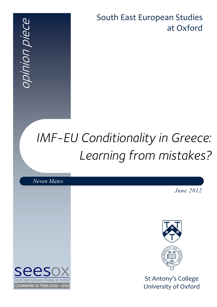South East European Studies at Oxford

# *IMF-EU Conditionality in Greece: Learning from mistakes?*

*Neven Mates*

*June 2012*



St Antony's College University of Oxford

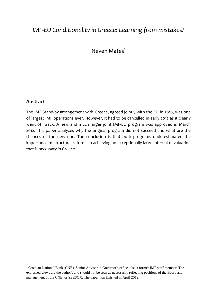### *IMF‐EU Conditionality in Greece: Learning from mistakes?*

Neven  $M$ ates $1$ 

#### **Abstract**

The IMF Stand‐by arrangement with Greece, agreed jointly with the EU in 2010, was one of largest IMF operations ever. However, it had to be cancelled in early 2012 as it clearly went off track. A new and much larger joint IMF‐EU program was approved in March 2012. This paper analyzes why the original program did not succeed and what are the chances of the new one. The conclusion is that both programs underestimated the importance of structural reforms in achieving an exceptionally large internal devaluation that is necessary in Greece.

<sup>&</sup>lt;sup>1</sup> Croatian National Bank (CNB), Senior Advisor in Governor's office, also a former IMF staff member. The expressed views are the author's and should not be seen as necessarily reflecting positions of the Board and management of the CNB, or SEESOX. The paper was finished in April 2012.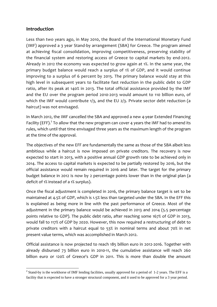#### **Introduction**

Less than two years ago, in May 2010, the Board of the International Monetary Fund (IMF) approved a 3 year Stand‐by arrangement (SBA) for Greece. The program aimed at achieving fiscal consolidation, improving competitiveness, preserving stability of the financial system and restoring access of Greece to capital markets by end‐2012. Already in 2012 the economy was expected to grow again at 1%. In the same year, the primary budget balance would reach a surplus of 1% of GDP, and it would continue improving to a surplus of 6 percent by 2015. The primary balance would stay at this high level in subsequent years to facilitate fast reduction in the public debt to GDP ratio, after its peak at 140% in 2013. The total official assistance provided by the IMF and the EU over the program period 2010‐2013 would amount to 110 billion euro, of which the IMF would contribute 1/3, and the EU 2/3. Private sector debt reduction (a haircut) was not envisaged.

In March 2012, the IMF cancelled the SBA and approved a new 4‐year Extended Financing Facility (EFF).<sup>2</sup> To allow that the new program can cover 4 years the IMF had to amend its rules, which until that time envisaged three years as the maximum length of the program at the time of the approval.

The objectives of the new EFF are fundamentally the same as those of the SBA albeit less ambitious while a haircut is now imposed on private creditors. The recovery is now expected to start in 2013, with a positive annual GDP growth rate to be achieved only in 2014. The access to capital markets is expected to be partially restored by 2016, but the official assistance would remain required in 2016 and later. The target for the primary budget balance in 2012 is now by 2 percentage points lower than in the original plan (a deficit of 1% instead of a 1% surplus).

Once the fiscal adjustment is completed in 2016, the primary balance target is set to be maintained at 4.5% of GDP, which is 1.5% less than targeted under the SBA. In the EFF this is explained as being more in line with the past performance of Greece. Most of the adjustment in the primary balance would be achieved in 2013 and 2014 (5.5 percentage points relative to GDP). The public debt ratio, after reaching some 167% of GDP in 2013, would fall to 117% of GDP by 2020. However, this now required a restructuring of debt to private creditors with a haircut equal to 53% in nominal terms and about 70% in net present value terms, which was accomplished in March 2012.

Official assistance is now projected to reach 185 billion euro in 2012‐2016. Together with already disbursed 73 billion euro in 2010‐11, the cumulative assistance will reach 260 billion euro or 120% of Greece's GDP in 2011. This is more than double the amount

 $2^{2}$  Stand-by is the workhorse of IMF lending facilities, usually approved for a period of 1-2 years. The EFF is a facility that is expected to have a stronger structural component, and it used to be approved for a 3 year period.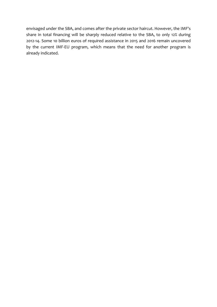envisaged under the SBA, and comes after the private sector haircut. However, the IMF's share in total financing will be sharply reduced relative to the SBA, to only 12% during 2012‐14. Some 10 billion euros of required assistance in 2015 and 2016 remain uncovered by the current IMF‐EU program, which means that the need for another program is already indicated.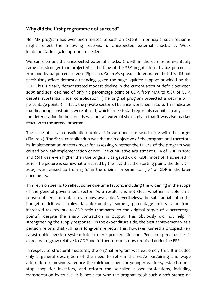#### **Why did the first programme not succeed?**

No IMF program has ever been revised to such an extent. In principle, such revisions might reflect the following reasons: 1. Unexpected external shocks. 2. Weak implementation. 3. Inappropriate design.

We can discount the unexpected external shocks. Growth in the euro zone eventually came out stronger than projected at the time of the SBA negotiations, by 0.8 percent in 2010 and by 0.1 percent in 2011 (Figure 1). Greece's spreads deteriorated, but this did not particularly affect domestic financing, given the huge liquidity support provided by the ECB. This is clearly demonstrated modest decline in the current account deficit between 2009 and 2011 declined of only 1.2 percentage point of GDP, from 11.1% to 9.8% of GDP, despite substantial fiscal consolidation. (The original program projected a decline of 4 percentage points.) In fact, the private sector S‐I balance worsened in 2010. This indicates that financing constraints were absent, which the EFF staff report also admits. In any case, the deterioration in the spreads was not an external shock, given that it was also market reaction to the agreed program.

The scale of fiscal consolidation achieved in 2010 and 2011 was in line with the target (Figure 2). The fiscal consolidation was the main objective of the program and therefore its implementation matters most for assessing whether the failure of the program was caused by weak implementation or not. The cumulative adjustment 6.4% of GDP in 2010 and 2011 was even higher than the originally targeted 6% of GDP, most of it achieved in 2010. The picture is somewhat obscured by the fact that the starting point, the deficit in 2009, was revised up from 13.6% in the original program to 15.7% of GDP in the later documents.

This revision seems to reflect some one-time factors, including the widening in the scope of the general government sector. As a result, it is not clear whether reliable time‐ consistent series of data is even now available. Nevertheless, the substantial cut in the budget deficit was achieved. Unfortunately, some 3 percentage points came from increased tax revenue‐to‐GDP ratio (compared to the original target of 2 percentage points), despite the sharp contraction in output. This obviously did not help in strengthening the supply response. On the expenditure side, the best achievement was a pension reform that will have long‐term effects. This, however, turned a prospectively catastrophic pension system into a mere problematic one: Pension spending is still expected to grow relative to GDP and further reform is now required under the EFF.

In respect to structural measures, the original program was extremely thin. It included only a general description of the need to reform the wage bargaining and wage arbitration frameworks, reduce the minimum rage for younger workers, establish one‐ stop shop for investors, and reform the so-called closed professions, including transportation by trucks. It is not clear why the program took such a soft stance on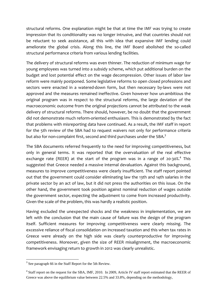structural reforms. One explanation might be that at time the IMF was trying to create impression that its conditionality was no longer intrusive, and that countries should not be reluctant to seek assistance, all this with idea that expansive IMF lending could ameliorate the global crisis. Along this line, the IMF Board abolished the so-called structural performance criteria from various lending facilities.

The delivery of structural reforms was even thinner. The reduction of minimum wage for young employees was turned into a subsidy scheme, which put additional burden on the budget and lost potential effect on the wage decompression. Other issues of labor law reform were mainly postponed. Some legislative reforms to open closed professions and sectors were enacted in a watered-down form, but then necessary by-laws were not approved and the measures remained ineffective. Given however how un-ambitious the original program was in respect to the structural reforms, the large deviation of the macroeconomic outcome from the original projections cannot be attributed to the weak delivery of structural reforms. There should, however, be no doubt that the government did not demonstrate much reform-oriented enthusiasm. This is demonstrated by the fact that problems with misreporting data have continued. As a result, the IMF staff in report for the 5th review of the SBA had to request waivers not only for performance criteria but also for non-complaint first, second and third purchases under the SBA.<sup>3</sup>

The SBA documents referred frequently to the need for improving competitiveness, but only in general terms. It was reported that the overvaluation of the real effective exchange rate (REER) at the start of the program was in a range of 20-30%.<sup>4</sup> This suggested that Greece needed a massive internal devaluation. Against this background, measures to improve competitiveness were clearly insufficient. The staff report pointed out that the government could consider eliminating law the 13th and 14th salaries in the private sector by an act of law, but it did not press the authorities on this issue. On the other hand, the government took position against nominal reduction of wages outside the government sector, expecting the adjustment to come from increased productivity. Given the scale of the problem, this was hardly a realistic position.

Having excluded the unexpected shocks and the weakness in implementation, we are left with the conclusion that the main cause of failure was the design of the program itself. Sufficient measures for improving competitiveness were clearly missing. The excessive reliance of fiscal consolidation on increased taxation and this when tax rates in Greece were already on the high side was clearly counterproductive for improving competitiveness. Moreover, given the size of REER misalignment, the macroeconomic framework envisaging return to growth in 2012 was clearly unrealistic.

<sup>&</sup>lt;sup>3</sup> See paragraph 66 in the Staff Report for the 5th Review.

<sup>&</sup>lt;sup>4</sup> Staff report on the request for the SBA, IMF, 2010. In 2009, Article IV staff report estimated that the REER of Greece was above the equilibrium value between 22.5% and 33.8%, depending on the methodology,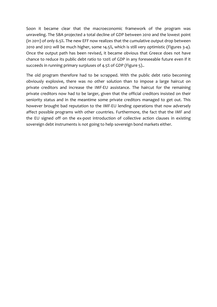Soon it became clear that the macroeconomic framework of the program was unraveling. The SBA projected a total decline of GDP between 2010 and the lowest point (in 2011) of only 6.5%. The new EFF now realizes that the cumulative output drop between 2010 and 2012 will be much higher, some 14.5%, which is still very optimistic (Figures 3‐4). Once the output path has been revised, it became obvious that Greece does not have chance to reduce its public debt ratio to 120% of GDP in any foreseeable future even if it succeeds in running primary surpluses of 4.5% of GDP (Figure 5)..

The old program therefore had to be scrapped. With the public debt ratio becoming obviously explosive, there was no other solution than to impose a large haircut on private creditors and increase the IMF‐EU assistance. The haircut for the remaining private creditors now had to be larger, given that the official creditors insisted on their seniority status and in the meantime some private creditors managed to get out. This however brought bad reputation to the IMF‐EU lending operations that now adversely affect possible programs with other countries. Furthermore, the fact that the IMF and the EU signed off on the ex‐post introduction of collective action clauses in existing sovereign debt instruments is not going to help sovereign bond markets either.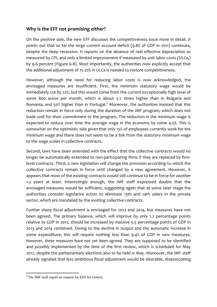#### **Why is the EFF not promising either?**

On the positive side, the new EFF discusses the competitiveness issue more in detail. It points out that so far the large current account deficit (9.8% of GDP in 2011) continues, despite the deep recession. It reports on the absence of real effective depreciation as measured by CPI, and only a limited improvement if measured by unit labor costs (ULCs,) by 9.6 percent (Figure 6‐8). Most importantly, the authorities now explicitly accept that the additional adjustment of 15‐20% in ULCs is needed to restore competitiveness.

However, although the need for reducing labor costs is now acknowledged, the envisaged measures are insufficient. First, the minimum statutory wage would be immediately cut by 22%, but this would come from the current exceptionally high level of some 800 euros per month, which is about 5-7 times higher than in Bulgaria and Romania, and 50% higher than in Portugal.<sup>5</sup> Moreover, the authorities insisted that this reduction remain in force only during the duration of the IMF program, which does not bode well for their commitment to the program. The reduction in the minimum wage is expected to reduce over time the average wage in the economy by some 4.5%. This is somewhat on the optimistic side given that only 15% of employees currently work for the minimum wage and there does not seem to be a link from the statutory minimum wage to the wage scales in collective contracts.

Second, laws have been amended with the effect that the collective contracts would no longer be automatically extended to non-participating firms if they are replaced by firmlevel contracts. Third, a new legislation will change the provision according to which the collective contracts remain in force until changed by a new agreement. However, it appears that most of the existing contracts would still continue to be in force for another 1.5 years at least. Interestingly enough, the IMF staff expressed doubts that the envisaged measures would be sufficient, suggesting again that at some later stage the authorities consider legislative action to eliminate 13th and 14th salary in the private sector, which are mandated by the existing collective contracts.

Further sharp fiscal adjustment is envisaged for 2013 and 2014, but measures have not been agreed. The primary balance, which will improve by only 1.2 percentage points relative to GDP in 2012, should be increased by massive 5.5 percentage points of GDP in 2013 and 2014 combined. Owing to the decline in output and the automatic increase in some expenditure, this will require nothing less than 9.4% of GDP in new measures*. However, these measures have not yet been agreed.* They are supposed to be identified and possibly implemented by the time of the first review, which is scheduled for May 2012, despite the parliamentary elections also to be held in May. Moreover, the IMF staff already signaled that less ambitious fiscal adjustment would be desirable, disassociating

 <sup>5</sup> The IMF staff report on request for EFF for Greece.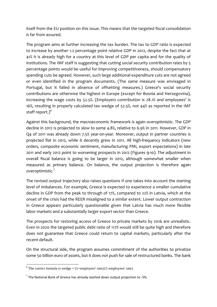itself from the EU position on this issue. This means that the targeted fiscal consolidation is far from assured.

The program aims at further increasing the tax burden. The tax to GDP ratio is expected to increase by another 1.2 percentage point relative GDP in 2012, despite the fact that at 41% it is already high for a country at this level of GDP per capita and for the quality of institutions. The IMF staff is suggesting that cutting social security contribution rates by 5 percentage points would be useful for improving competitiveness, should compensatory spending cuts be agreed. However, such large additional expenditure cuts are not agreed or even identified in the program documents. (The same measure was envisaged in Portugal, but it failed in absence of offsetting measures.) Greece's social security contributions are otherwise the highest in Europe (except for Bosnia and Herzegovina), increasing the wage costs by 52.5%. (Employers contribution is 28.1% and employees' is 16%, resulting in properly calculated tax wedge of 52.5%, not 44% as reported in the IMF staff report.) $^6\,$ 

Against this background, the macroeconomic framework is again overoptimistic. The GDP decline in 2012 is projected to slow to some 4.8%, relative to 6.9% in 2011. However, GDP in Q4 of 2011 was already down 7.5% year-on-year. Moreover, output in partner countries is projected flat in 2012, while it decently grew in 2011. All high-frequency indicators (new orders, composite economic sentiment, manufacturing PMI, export expectations) in late 2011 and early 2012 point to worsening prospects in 2012 (Figures 9‐10). The adjustment in overall fiscal balance is going to be larger in 2012, although somewhat smaller when measured as primary balance. On balance, the output projection is therefore again overoptimistic.7

The revised output trajectory also raises questions if one takes into account the starting level of imbalances. For example, Greece is expected to experience a smaller cumulative decline in GDP from the peak to through of 17%, compared to 22% in Latvia, which at the onset of the crisis had the REER misaligned to a similar extent. Lower output contraction in Greece appears particularly questionable given that Latvia has much more flexible labor markets and a substantially larger export sector than Greece.

The prospects for restoring access of Greece to private markets by 2016 are unrealistic. Even in 2020 the targeted public debt ratio of 117% would still be quite high and therefore does not guarantee that Greece could return to capital markets, particularly after the recent default.

On the structural side, the program assumes commitment of the authorities to privatize some 50 billion euro of assets, but it does not push for sale of restructured banks. The bank

  $6$  The correct formula is wedge = (1+employers' rate)/(1-employees' rate).

 $7$  The National Bank of Greece has already slashed down output projection to -5%.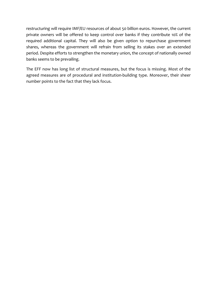restructuring will require IMF/EU resources of about 50 billion euros. However, the current private owners will be offered to keep control over banks if they contribute 10% of the required additional capital. They will also be given option to repurchase government shares, whereas the government will refrain from selling its stakes over an extended period. Despite efforts to strengthen the monetary union, the concept of nationally owned banks seems to be prevailing.

The EFF now has long list of structural measures, but the focus is missing. Most of the agreed measures are of procedural and institution‐building type. Moreover, their sheer number points to the fact that they lack focus.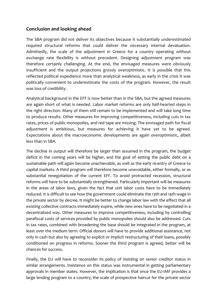#### **Conclusion and looking ahead**

The SBA program did not deliver its objectives because it substantially underestimated required structural reforms that could deliver the necessary internal devaluation. Admittedly, the scale of the adjustment in Greece for a country operating without exchange rate flexibility is without precedent. Designing adjustment program was therefore certainly challenging. At the end, the envisaged measures were obviously insufficient and the output projections grossly overoptimistic. It is possible that this reflected political expedience more than analytical weakness, as early in the crisis it was politically convenient to underestimate the costs of the program. However, the result was loss of credibility.

Analytical background in the EFF is now better than in the SBA, but the agreed measures are again short of what is needed. Labor market reforms are only half‐hearted steps in the right direction. Many of them still remain to be implemented and will take long time to produce results. Other measures for improving competitiveness, including cuts in tax rates, prices of public monopolies, and red tape are missing. The envisaged path for fiscal adjustment is ambitious, but measures for achieving it have yet to be agreed. Expectations about the macroeconomic developments are again overoptimistic, albeit less than in SBA.

The decline in output will therefore be larger than assumed in the program, the budget deficit in the coming years will be higher, and the goal of setting the public debt on a sustainable path will again become unachievable, as well as the early re‐entry of Greece to capital markets. A third program will therefore become unavoidable, either formally, or as substantial renegotiation of the current EFF. To avoid protracted recession, structural reforms will have to be substantially strengthened. Particularly important will be measures in the areas of labor laws, given the fact that unit labor costs have to be immediately reduced. It is difficult to see how the government could eliminate the 13th and 14th wage in the private sector by decree. It might be better to change labor law with the effect that all existing collective contracts immediately expire, while new ones have to be negotiated in a decentralized way. Other measures to improve competitiveness, including by controlling parafiscal costs of services provided by public monopolies should also be addressed. Cuts in tax rates, combined with broadening the base should be integrated in the program, at least over the medium term. Official donors will have to provide additional assistance, not only in cash but also by agreeing to explicit or implicit restructuring of their loans, possibly conditioned on progress in reforms. Sooner the third program is agreed, better will be chances for success.

Finally, the EU will have to reconsider its policy of insisting on senior creditor status in similar arrangements. Insistence on this status was instrumental in getting parliamentary approvals in member states. However, the implication is that once the EU‐IMF provides a large lending program to a country, the scale of prospective haircut for the private sector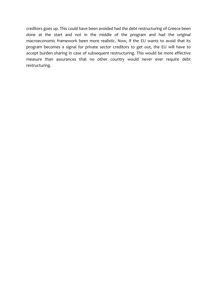creditors goes up. This could have been avoided had the debt restructuring of Greece been done at the start and not in the middle of the program and had the original macroeconomic framework been more realistic. Now, if the EU wants to avoid that its program becomes a signal for private sector creditors to get out, the EU will have to accept burden sharing in case of subsequent restructuring. This would be more effective measure than assurances that no other country would never ever require debt restructuring.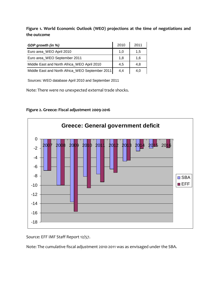**Figure 1. World Economic Outlook (WEO) projections at the time of negotiations and the outcome**

| GDP growth (in %)                               | 2010 | 2011 |
|-------------------------------------------------|------|------|
| Euro area_WEO April 2010                        | 1,0  | 1,5  |
| Euro area_WEO September 2011                    | 1,8  | 1,6  |
| Middle East and North Africa WEO April 2010     | 4.5  | 4,8  |
| Middle East and North Africa_WEO September 2011 | 4,4  | 4,0  |

Sources: WEO database April 2010 and September 2011

Note: There were no unexpected external trade shocks.



**Figure 2. Greece: Fiscal adjustment 2009‐2016**

Source: EFF IMF Staff Report 12/57.

Note: The cumulative fiscal adjustment 2010‐2011 was as envisaged under the SBA.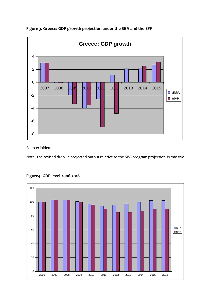

#### **Figure 3. Greece: GDP growth projection under the SBA and the EFF**

Source: ibidem.

Note: The revised drop in projected output relative to the SBA program projection is massive.



#### **Figure4. GDP level 2006‐2016**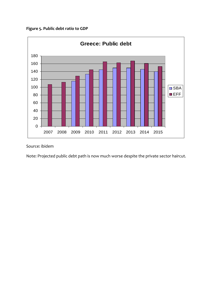



Source: ibidem

Note: Projected public debt path is now much worse despite the private sector haircut.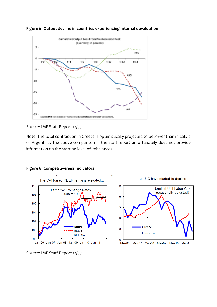

**Figure 6. Output decline in countries experiencing internal devaluation**

#### Source: IMF Staff Report 12/57.

Note: The total contraction in Greece is optimistically projected to be lower than in Latvia or Argentina. The above comparison in the staff report unfortunately does not provide information on the starting level of imbalances.



#### **Figure 6. Competitiveness indicators**

Source: IMF Staff Report 12/57.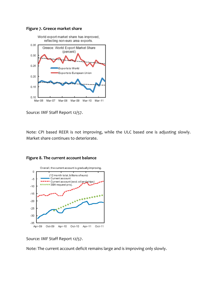



Source: IMF Staff Report 12/57.

Note: CPI based REER is not improving, while the ULC based one is adjusting slowly. Market share continues to deteriorate.



**Figure 8. The current account balance**

Source: IMF Staff Report 12/57.

Note: The current account deficit remains large and is improving only slowly.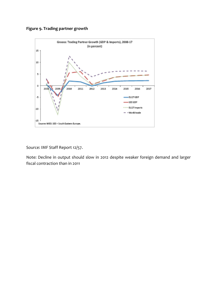



Source: IMF Staff Report 12/57.

Note: Decline in output should slow in 2012 despite weaker foreign demand and larger fiscal contraction than in 2011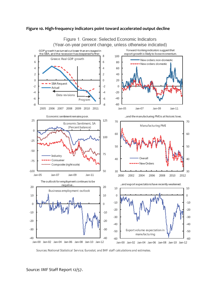

#### **Figure 10. High‐frequency indicators point toward accelerated output decline**

Sources: National Statistical Service; Eurostat; and IMF staff calculations and estimates.

Source: IMF Staff Report 12/57.